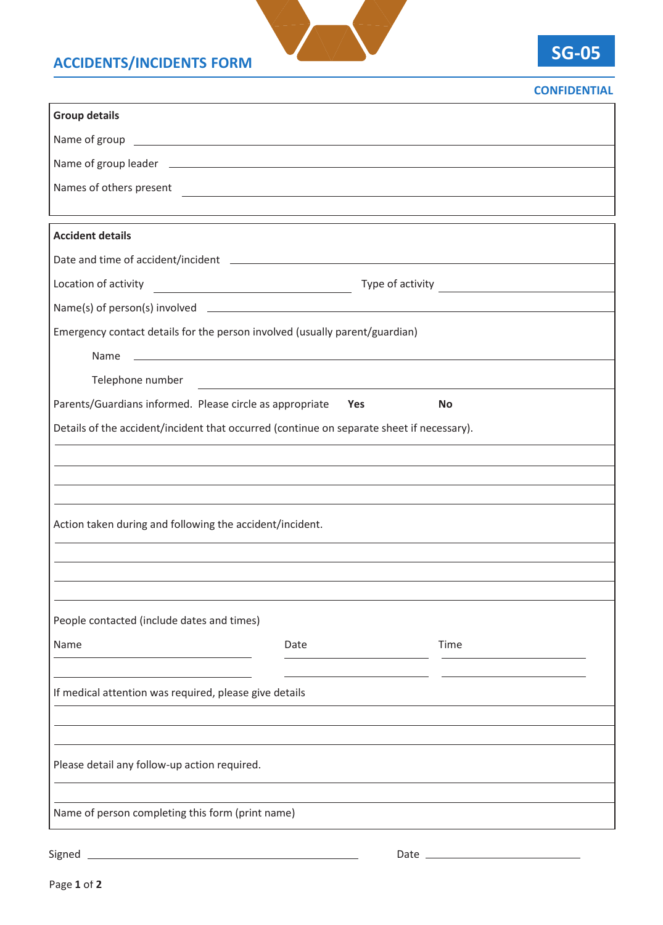## **ACCIDENTS/INCIDENTS FORM**



## **CONFIDENTIAL**

| <b>Group details</b>                                                                                                                                                                                                          |                                                             |      |  |
|-------------------------------------------------------------------------------------------------------------------------------------------------------------------------------------------------------------------------------|-------------------------------------------------------------|------|--|
| Name of group experience and the set of group of the set of the set of the set of the set of the set of the set of the set of the set of the set of the set of the set of the set of the set of the set of the set of the set |                                                             |      |  |
|                                                                                                                                                                                                                               |                                                             |      |  |
| Names of others present                                                                                                                                                                                                       |                                                             |      |  |
|                                                                                                                                                                                                                               |                                                             |      |  |
| <b>Accident details</b>                                                                                                                                                                                                       |                                                             |      |  |
| Date and time of accident/incident entries and the state of accident of the state of accident (in the state of                                                                                                                |                                                             |      |  |
| Location of activity                                                                                                                                                                                                          |                                                             |      |  |
|                                                                                                                                                                                                                               |                                                             |      |  |
| Emergency contact details for the person involved (usually parent/guardian)                                                                                                                                                   |                                                             |      |  |
| Name                                                                                                                                                                                                                          | <u> 1989 - Johann Stoff, amerikansk politiker (d. 1989)</u> |      |  |
| Telephone number                                                                                                                                                                                                              |                                                             |      |  |
| Parents/Guardians informed. Please circle as appropriate<br>Yes<br>No                                                                                                                                                         |                                                             |      |  |
| Details of the accident/incident that occurred (continue on separate sheet if necessary).                                                                                                                                     |                                                             |      |  |
|                                                                                                                                                                                                                               |                                                             |      |  |
|                                                                                                                                                                                                                               |                                                             |      |  |
|                                                                                                                                                                                                                               |                                                             |      |  |
| Action taken during and following the accident/incident.                                                                                                                                                                      |                                                             |      |  |
|                                                                                                                                                                                                                               |                                                             |      |  |
|                                                                                                                                                                                                                               |                                                             |      |  |
|                                                                                                                                                                                                                               |                                                             |      |  |
| People contacted (include dates and times)                                                                                                                                                                                    |                                                             |      |  |
| Name                                                                                                                                                                                                                          | Date                                                        | Time |  |
|                                                                                                                                                                                                                               |                                                             |      |  |
| If medical attention was required, please give details                                                                                                                                                                        |                                                             |      |  |
|                                                                                                                                                                                                                               |                                                             |      |  |
|                                                                                                                                                                                                                               |                                                             |      |  |
| Please detail any follow-up action required.                                                                                                                                                                                  |                                                             |      |  |
|                                                                                                                                                                                                                               |                                                             |      |  |
| Name of person completing this form (print name)                                                                                                                                                                              |                                                             |      |  |
|                                                                                                                                                                                                                               |                                                             |      |  |
| Signed                                                                                                                                                                                                                        |                                                             |      |  |